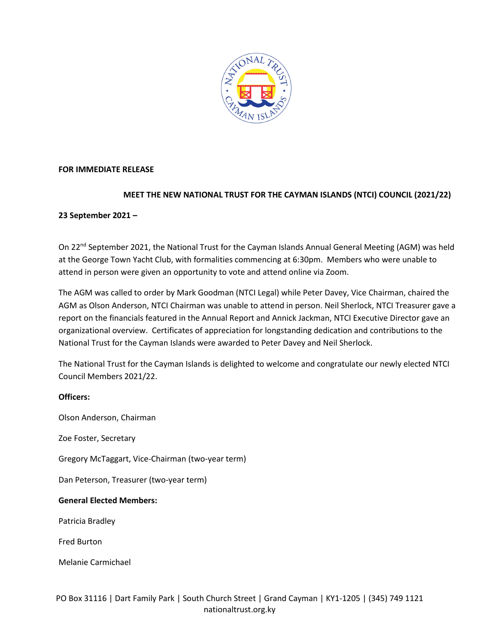

# **FOR IMMEDIATE RELEASE**

# **MEET THE NEW NATIONAL TRUST FOR THE CAYMAN ISLANDS (NTCI) COUNCIL (2021/22)**

# **23 September 2021 –**

On 22<sup>nd</sup> September 2021, the National Trust for the Cayman Islands Annual General Meeting (AGM) was held at the George Town Yacht Club, with formalities commencing at 6:30pm. Members who were unable to attend in person were given an opportunity to vote and attend online via Zoom.

The AGM was called to order by Mark Goodman (NTCI Legal) while Peter Davey, Vice Chairman, chaired the AGM as Olson Anderson, NTCI Chairman was unable to attend in person. Neil Sherlock, NTCI Treasurer gave a report on the financials featured in the Annual Report and Annick Jackman, NTCI Executive Director gave an organizational overview. Certificates of appreciation for longstanding dedication and contributions to the National Trust for the Cayman Islands were awarded to Peter Davey and Neil Sherlock.

The National Trust for the Cayman Islands is delighted to welcome and congratulate our newly elected NTCI Council Members 2021/22.

### **Officers:**

Olson Anderson, Chairman

Zoe Foster, Secretary

Gregory McTaggart, Vice-Chairman (two-year term)

Dan Peterson, Treasurer (two-year term)

### **General Elected Members:**

Patricia Bradley

Fred Burton

Melanie Carmichael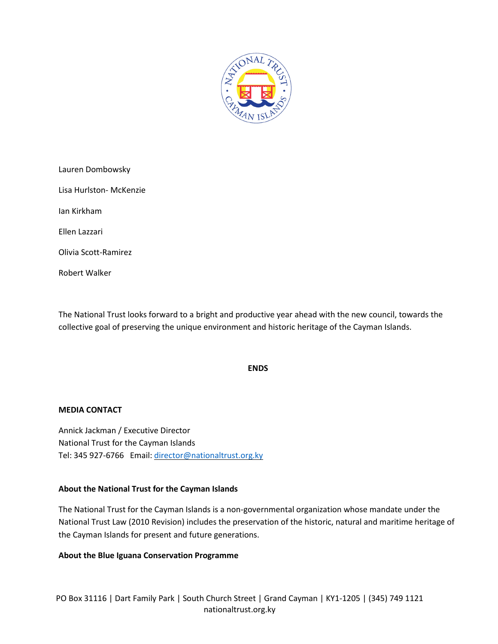

| Lauren Dombowsky        |
|-------------------------|
| Lisa Hurlston- McKenzie |
| Jan Kirkham             |
| Ellen Lazzari           |
| Olivia Scott-Ramirez    |
| Robert Walker           |

The National Trust looks forward to a bright and productive year ahead with the new council, towards the collective goal of preserving the unique environment and historic heritage of the Cayman Islands.

### **ENDS**

### **MEDIA CONTACT**

Annick Jackman / Executive Director National Trust for the Cayman Islands Tel: 345 927-6766 Email: [director@nationaltrust.org.ky](mailto:director@nationaltrust.org.ky)

### **About the National Trust for the Cayman Islands**

The National Trust for the Cayman Islands is a non-governmental organization whose mandate under the National Trust Law (2010 Revision) includes the preservation of the historic, natural and maritime heritage of the Cayman Islands for present and future generations.

### **About the Blue Iguana Conservation Programme**